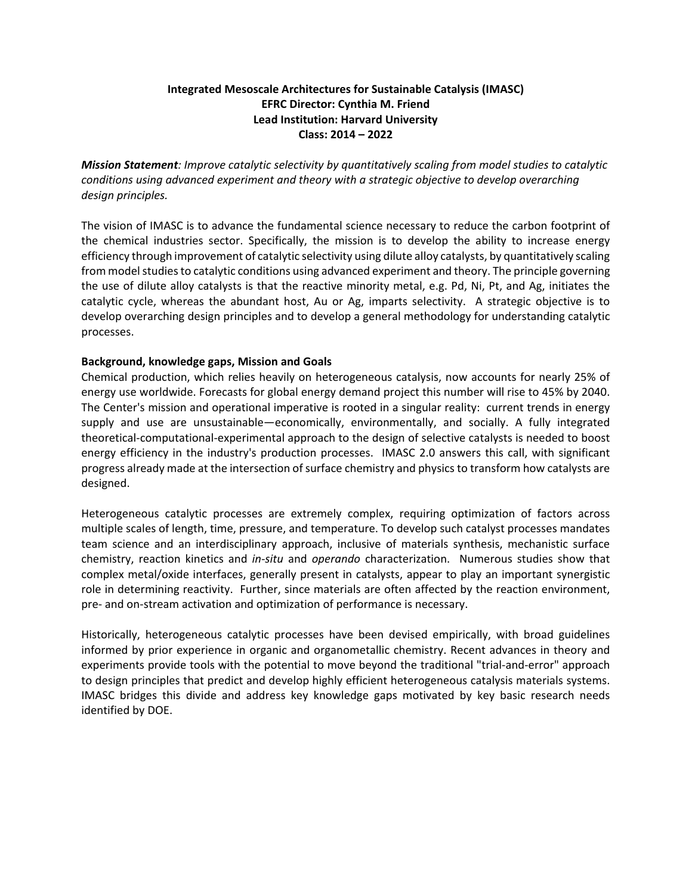## **Integrated Mesoscale Architectures for Sustainable Catalysis (IMASC) EFRC Director: Cynthia M. Friend Lead Institution: Harvard University Class: 2014 – 2022**

*Mission Statement: Improve catalytic selectivity by quantitatively scaling from model studies to catalytic conditions using advanced experiment and theory with a strategic objective to develop overarching design principles.* 

The vision of IMASC is to advance the fundamental science necessary to reduce the carbon footprint of the chemical industries sector. Specifically, the mission is to develop the ability to increase energy efficiency through improvement of catalytic selectivity using dilute alloy catalysts, by quantitatively scaling from model studies to catalytic conditions using advanced experiment and theory. The principle governing the use of dilute alloy catalysts is that the reactive minority metal, e.g. Pd, Ni, Pt, and Ag, initiates the catalytic cycle, whereas the abundant host, Au or Ag, imparts selectivity. A strategic objective is to develop overarching design principles and to develop a general methodology for understanding catalytic processes.

### **Background, knowledge gaps, Mission and Goals**

Chemical production, which relies heavily on heterogeneous catalysis, now accounts for nearly 25% of energy use worldwide. Forecasts for global energy demand project this number will rise to 45% by 2040. The Center's mission and operational imperative is rooted in a singular reality: current trends in energy supply and use are unsustainable—economically, environmentally, and socially. A fully integrated theoretical-computational-experimental approach to the design of selective catalysts is needed to boost energy efficiency in the industry's production processes. IMASC 2.0 answers this call, with significant progress already made at the intersection of surface chemistry and physics to transform how catalysts are designed.

Heterogeneous catalytic processes are extremely complex, requiring optimization of factors across multiple scales of length, time, pressure, and temperature. To develop such catalyst processes mandates team science and an interdisciplinary approach, inclusive of materials synthesis, mechanistic surface chemistry, reaction kinetics and *in-situ* and *operando* characterization. Numerous studies show that complex metal/oxide interfaces, generally present in catalysts, appear to play an important synergistic role in determining reactivity. Further, since materials are often affected by the reaction environment, pre- and on-stream activation and optimization of performance is necessary.

Historically, heterogeneous catalytic processes have been devised empirically, with broad guidelines informed by prior experience in organic and organometallic chemistry. Recent advances in theory and experiments provide tools with the potential to move beyond the traditional "trial-and-error" approach to design principles that predict and develop highly efficient heterogeneous catalysis materials systems. IMASC bridges this divide and address key knowledge gaps motivated by key basic research needs identified by DOE.